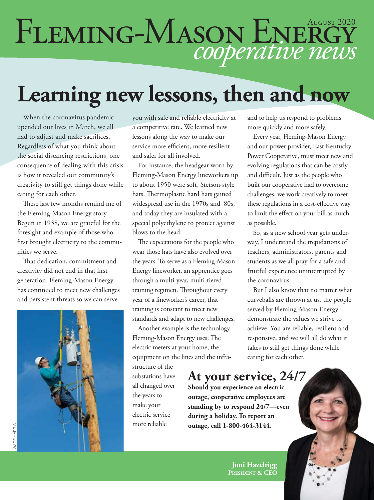# FLEMING-MASON ENERGY

## **Learning new lessons, then and now**

When the coronavirus pandemic upended our lives in March, we all had to adjust and make sacrifices. Regardless of what you think about the social distancing restrictions, one consequence of dealing with this crisis is how it revealed our community's creativity to still get things done while caring for each other.

These last few months remind me of the Fleming-Mason Energy story. Begun in 1938, we are grateful for the foresight and example of those who first brought electricity to the communities we serve.

That dedication, commitment and creativity did not end in that first generation. Fleming-Mason Energy has continued to meet new challenges and persistent threats so we can serve



you with safe and reliable electricity at a competitive rate. We learned new lessons along the way to make our service more efficient, more resilient and safer for all involved.

For instance, the headgear worn by Fleming-Mason Energy lineworkers up to about 1950 were soft, Stetson-style hats. Thermoplastic hard hats gained widespread use in the 1970s and '80s, and today they are insulated with a special polyethylene to protect against blows to the head.

The expectations for the people who wear those hats have also evolved over the years. To serve as a Fleming-Mason Energy lineworker, an apprentice goes through a multi-year, multi-tiered training regimen. Throughout every year of a lineworker's career, that training is constant to meet new standards and adapt to new challenges.

Another example is the technology Fleming-Mason Energy uses. The electric meters at your home, the equipment on the lines and the infra-

structure of the substations have all changed over the years to make your electric service more reliable

and to help us respond to problems more quickly and more safely.

Every year, Fleming-Mason Energy and our power provider, East Kentucky Power Cooperative, must meet new and evolving regulations that can be costly and difficult. Just as the people who built our cooperative had to overcome challenges, we work creatively to meet these regulations in a cost-effective way to limit the effect on your bill as much as possible.

So, as a new school year gets underway, I understand the trepidations of teachers, administrators, parents and students as we all pray for a safe and fruitful experience uninterrupted by the coronavirus.

But I also know that no matter what curveballs are thrown at us, the people served by Fleming-Mason Energy demonstrate the values we strive to achieve. You are reliable, resilient and responsive, and we will all do what it takes to still get things done while caring for each other.

#### **At your service, 24/7**

**Should you experience an electric outage, cooperative employees are standing by to respond 24/7—even during a holiday. To report an outage, call 1-800-464-3144.**

> **Joni Hazelrigg President & CEO**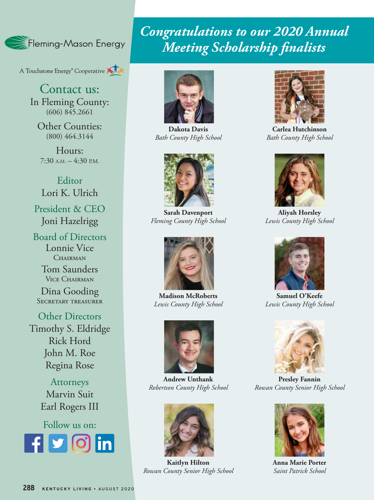

A Touchstone Energy<sup>®</sup> Cooperative

Contact us: In Fleming County: (606) 845.2661

Other Counties: (800) 464.3144

Hours:  $7:30$  A.M.  $-4:30$  P.M.

Editor Lori K. Ulrich President & CEO

Joni Hazelrigg

Board of Directors Lonnie Vice CHAIRMAN

> Tom Saunders Vice Chairman

Dina Gooding Secretary treasurer

Other Directors Timothy S. Eldridge Rick Hord John M. Roe Regina Rose

> Attorneys Marvin Suit Earl Rogers III

Follow us on: **Rounded square** Only use blue and/or white. For more details check out our Brand Guidelines.

#### *Congratulations to our 2020 Annual Meeting Scholarship finalists*



**Dakota Davis** *Bath County High School*



**Sarah Davenport** *Fleming County High School*



**Madison McRoberts** *Lewis County High School*



**Andrew Unthank** *Robertson County High School*



**Kaitlyn Hilton** *Rowan County Senior High School*



**Carlea Hutchinson** *Bath County High School*



**Aliyah Horsley** *Lewis County High School*



**Samuel O'Keefe** *Lewis County High School*



**Presley Fannin** *Rowan County Senior High School*



**Anna Marie Porter** *Saint Patrick School*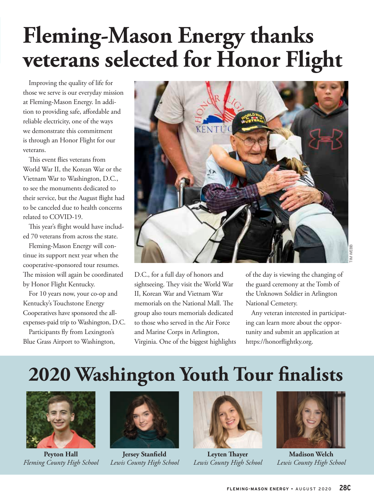# **Fleming-Mason Energy thanks veterans selected for Honor Flight**

Improving the quality of life for those we serve is our everyday mission at Fleming-Mason Energy. In addition to providing safe, affordable and reliable electricity, one of the ways we demonstrate this commitment is through an Honor Flight for our veterans.

This event flies veterans from World War II, the Korean War or the Vietnam War to Washington, D.C., to see the monuments dedicated to their service, but the August flight had to be canceled due to health concerns related to COVID-19.

This year's flight would have included 70 veterans from across the state.

Fleming-Mason Energy will continue its support next year when the cooperative-sponsored tour resumes. The mission will again be coordinated by Honor Flight Kentucky.

For 10 years now, your co-op and Kentucky's Touchstone Energy Cooperatives have sponsored the allexpenses-paid trip to Washington, D.C.

Participants fly from Lexington's Blue Grass Airport to Washington,



D.C., for a full day of honors and sightseeing. They visit the World War II, Korean War and Vietnam War memorials on the National Mall. The group also tours memorials dedicated to those who served in the Air Force and Marine Corps in Arlington, Virginia. One of the biggest highlights of the day is viewing the changing of the guard ceremony at the Tomb of the Unknown Soldier in Arlington National Cemetery.

Any veteran interested in participating can learn more about the opportunity and submit an application at https://honorflightky.org.

#### **2020 Washington Youth Tour finalists**



**Peyton Hall** *Fleming County High School*



**Jersey Stanfield** *Lewis County High School*



**Leyten Thayer** *Lewis County High School*



**Madison Welch** *Lewis County High School*